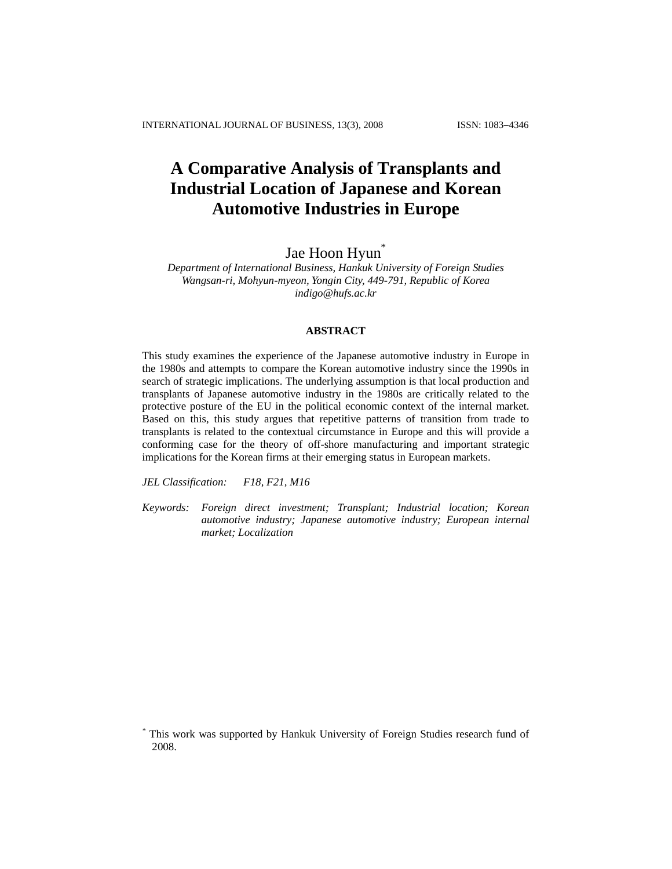# **A Comparative Analysis of Transplants and Industrial Location of Japanese and Korean Automotive Industries in Europe**

# Jae Hoon Hyun<sup>\*</sup>

*Department of International Business, Hankuk University of Foreign Studies Wangsan-ri, Mohyun-myeon, Yongin City, 449-791, Republic of Korea indigo@hufs.ac.kr* 

## **ABSTRACT**

This study examines the experience of the Japanese automotive industry in Europe in the 1980s and attempts to compare the Korean automotive industry since the 1990s in search of strategic implications. The underlying assumption is that local production and transplants of Japanese automotive industry in the 1980s are critically related to the protective posture of the EU in the political economic context of the internal market. Based on this, this study argues that repetitive patterns of transition from trade to transplants is related to the contextual circumstance in Europe and this will provide a conforming case for the theory of off-shore manufacturing and important strategic implications for the Korean firms at their emerging status in European markets.

*JEL Classification: F18, F21, M16* 

*Keywords: Foreign direct investment; Transplant; Industrial location; Korean automotive industry; Japanese automotive industry; European internal market; Localization* 

*<sup>\*</sup>* This work was supported by Hankuk University of Foreign Studies research fund of 2008.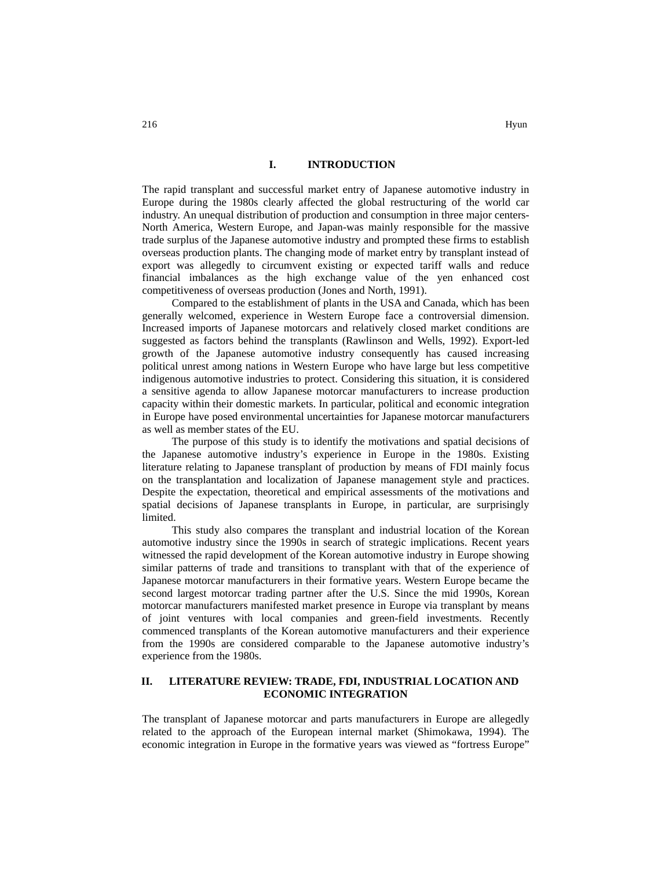#### **I. INTRODUCTION**

The rapid transplant and successful market entry of Japanese automotive industry in Europe during the 1980s clearly affected the global restructuring of the world car industry. An unequal distribution of production and consumption in three major centers-North America, Western Europe, and Japan-was mainly responsible for the massive trade surplus of the Japanese automotive industry and prompted these firms to establish overseas production plants. The changing mode of market entry by transplant instead of export was allegedly to circumvent existing or expected tariff walls and reduce financial imbalances as the high exchange value of the yen enhanced cost competitiveness of overseas production (Jones and North, 1991).

Compared to the establishment of plants in the USA and Canada, which has been generally welcomed, experience in Western Europe face a controversial dimension. Increased imports of Japanese motorcars and relatively closed market conditions are suggested as factors behind the transplants (Rawlinson and Wells, 1992). Export-led growth of the Japanese automotive industry consequently has caused increasing political unrest among nations in Western Europe who have large but less competitive indigenous automotive industries to protect. Considering this situation, it is considered a sensitive agenda to allow Japanese motorcar manufacturers to increase production capacity within their domestic markets. In particular, political and economic integration in Europe have posed environmental uncertainties for Japanese motorcar manufacturers as well as member states of the EU.

The purpose of this study is to identify the motivations and spatial decisions of the Japanese automotive industry's experience in Europe in the 1980s. Existing literature relating to Japanese transplant of production by means of FDI mainly focus on the transplantation and localization of Japanese management style and practices. Despite the expectation, theoretical and empirical assessments of the motivations and spatial decisions of Japanese transplants in Europe, in particular, are surprisingly limited.

This study also compares the transplant and industrial location of the Korean automotive industry since the 1990s in search of strategic implications. Recent years witnessed the rapid development of the Korean automotive industry in Europe showing similar patterns of trade and transitions to transplant with that of the experience of Japanese motorcar manufacturers in their formative years. Western Europe became the second largest motorcar trading partner after the U.S. Since the mid 1990s, Korean motorcar manufacturers manifested market presence in Europe via transplant by means of joint ventures with local companies and green-field investments. Recently commenced transplants of the Korean automotive manufacturers and their experience from the 1990s are considered comparable to the Japanese automotive industry's experience from the 1980s.

# **II. LITERATURE REVIEW: TRADE, FDI, INDUSTRIAL LOCATION AND ECONOMIC INTEGRATION**

The transplant of Japanese motorcar and parts manufacturers in Europe are allegedly related to the approach of the European internal market (Shimokawa, 1994). The economic integration in Europe in the formative years was viewed as "fortress Europe"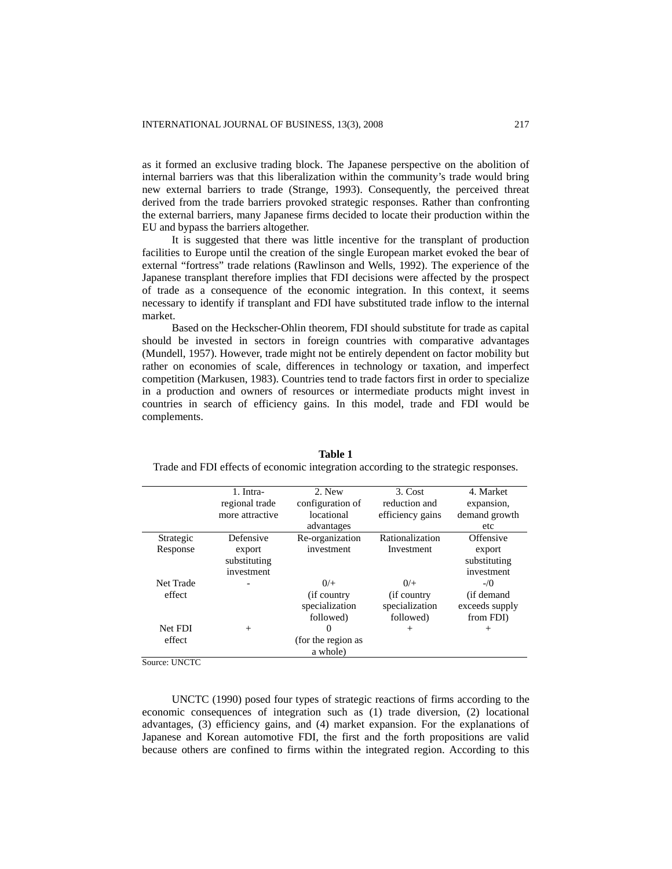as it formed an exclusive trading block. The Japanese perspective on the abolition of internal barriers was that this liberalization within the community's trade would bring new external barriers to trade (Strange, 1993). Consequently, the perceived threat derived from the trade barriers provoked strategic responses. Rather than confronting the external barriers, many Japanese firms decided to locate their production within the EU and bypass the barriers altogether.

It is suggested that there was little incentive for the transplant of production facilities to Europe until the creation of the single European market evoked the bear of external "fortress" trade relations (Rawlinson and Wells, 1992). The experience of the Japanese transplant therefore implies that FDI decisions were affected by the prospect of trade as a consequence of the economic integration. In this context, it seems necessary to identify if transplant and FDI have substituted trade inflow to the internal market.

Based on the Heckscher-Ohlin theorem, FDI should substitute for trade as capital should be invested in sectors in foreign countries with comparative advantages (Mundell, 1957). However, trade might not be entirely dependent on factor mobility but rather on economies of scale, differences in technology or taxation, and imperfect competition (Markusen, 1983). Countries tend to trade factors first in order to specialize in a production and owners of resources or intermediate products might invest in countries in search of efficiency gains. In this model, trade and FDI would be complements.

|           | 1. Intra-       | 2. New             | 3. Cost          | 4. Market      |
|-----------|-----------------|--------------------|------------------|----------------|
|           | regional trade  | configuration of   | reduction and    | expansion,     |
|           | more attractive | locational         | efficiency gains | demand growth  |
|           |                 | advantages         |                  | etc            |
| Strategic | Defensive       | Re-organization    | Rationalization  | Offensive      |
| Response  | export          | investment         | Investment       | export         |
|           | substituting    |                    |                  | substituting   |
|           | investment      |                    |                  | investment     |
| Net Trade |                 | 0/                 | 0/               | $-1/0$         |
| effect    |                 | (if country)       | (if country)     | (if demand     |
|           |                 | specialization     | specialization   | exceeds supply |
|           |                 | followed)          | followed)        | from FDI)      |
| Net FDI   | $^{+}$          | 0                  | $^{+}$           | $^{+}$         |
| effect    |                 | (for the region as |                  |                |
|           |                 | a whole)           |                  |                |
|           |                 |                    |                  |                |

**Table 1** 

Trade and FDI effects of economic integration according to the strategic responses.

Source: UNCTC

UNCTC (1990) posed four types of strategic reactions of firms according to the economic consequences of integration such as (1) trade diversion, (2) locational advantages, (3) efficiency gains, and (4) market expansion. For the explanations of Japanese and Korean automotive FDI, the first and the forth propositions are valid because others are confined to firms within the integrated region. According to this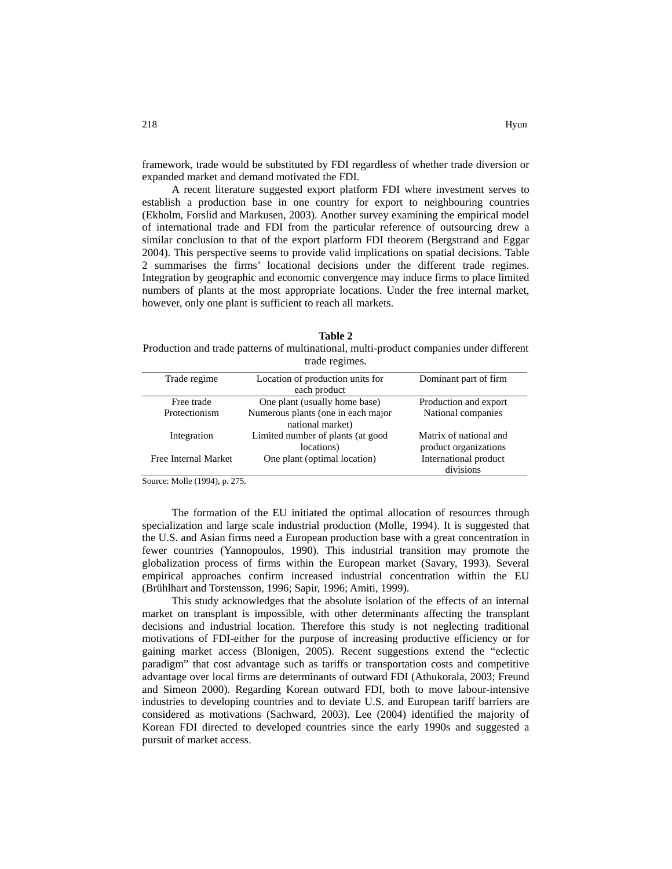framework, trade would be substituted by FDI regardless of whether trade diversion or expanded market and demand motivated the FDI.

A recent literature suggested export platform FDI where investment serves to establish a production base in one country for export to neighbouring countries (Ekholm, Forslid and Markusen, 2003). Another survey examining the empirical model of international trade and FDI from the particular reference of outsourcing drew a similar conclusion to that of the export platform FDI theorem (Bergstrand and Eggar 2004). This perspective seems to provide valid implications on spatial decisions. Table 2 summarises the firms' locational decisions under the different trade regimes. Integration by geographic and economic convergence may induce firms to place limited numbers of plants at the most appropriate locations. Under the free internal market, however, only one plant is sufficient to reach all markets.

**Table 2**  Production and trade patterns of multinational, multi-product companies under different trade regimes.

| Trade regime         | Location of production units for   | Dominant part of firm  |
|----------------------|------------------------------------|------------------------|
|                      | each product                       |                        |
| Free trade           | One plant (usually home base)      | Production and export  |
| Protectionism        | Numerous plants (one in each major | National companies     |
|                      | national market)                   |                        |
| Integration          | Limited number of plants (at good  | Matrix of national and |
|                      | locations)                         | product organizations  |
| Free Internal Market | One plant (optimal location)       | International product  |
|                      |                                    | divisions              |

Source: Molle (1994), p. 275.

The formation of the EU initiated the optimal allocation of resources through specialization and large scale industrial production (Molle, 1994). It is suggested that the U.S. and Asian firms need a European production base with a great concentration in fewer countries (Yannopoulos, 1990). This industrial transition may promote the globalization process of firms within the European market (Savary, 1993). Several empirical approaches confirm increased industrial concentration within the EU (Brühlhart and Torstensson, 1996; Sapir, 1996; Amiti, 1999).

This study acknowledges that the absolute isolation of the effects of an internal market on transplant is impossible, with other determinants affecting the transplant decisions and industrial location. Therefore this study is not neglecting traditional motivations of FDI-either for the purpose of increasing productive efficiency or for gaining market access (Blonigen, 2005). Recent suggestions extend the "eclectic paradigm" that cost advantage such as tariffs or transportation costs and competitive advantage over local firms are determinants of outward FDI (Athukorala, 2003; Freund and Simeon 2000). Regarding Korean outward FDI, both to move labour-intensive industries to developing countries and to deviate U.S. and European tariff barriers are considered as motivations (Sachward, 2003). Lee (2004) identified the majority of Korean FDI directed to developed countries since the early 1990s and suggested a pursuit of market access.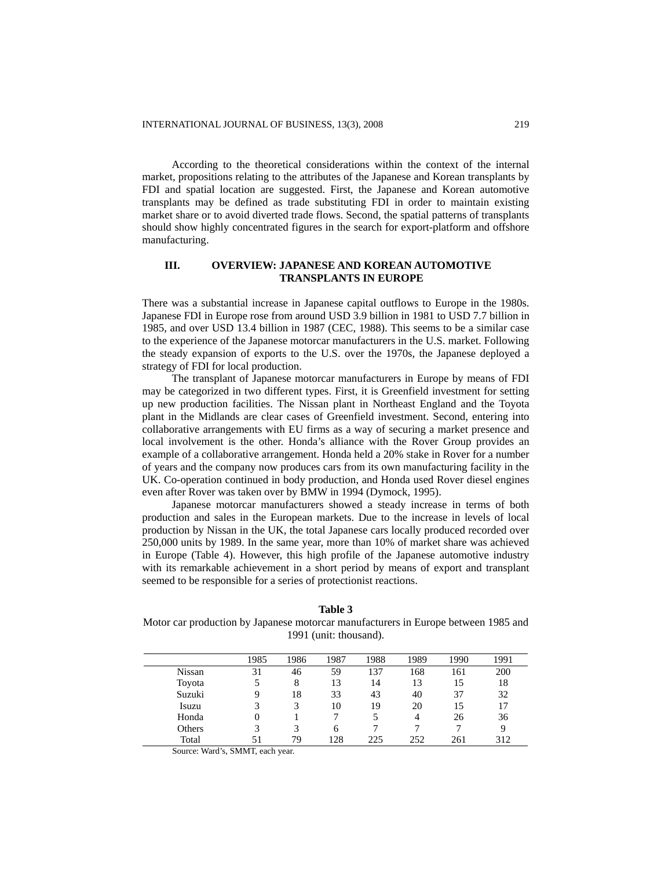According to the theoretical considerations within the context of the internal market, propositions relating to the attributes of the Japanese and Korean transplants by FDI and spatial location are suggested. First, the Japanese and Korean automotive transplants may be defined as trade substituting FDI in order to maintain existing market share or to avoid diverted trade flows. Second, the spatial patterns of transplants should show highly concentrated figures in the search for export-platform and offshore manufacturing.

# **III. OVERVIEW: JAPANESE AND KOREAN AUTOMOTIVE TRANSPLANTS IN EUROPE**

There was a substantial increase in Japanese capital outflows to Europe in the 1980s. Japanese FDI in Europe rose from around USD 3.9 billion in 1981 to USD 7.7 billion in 1985, and over USD 13.4 billion in 1987 (CEC, 1988). This seems to be a similar case to the experience of the Japanese motorcar manufacturers in the U.S. market. Following the steady expansion of exports to the U.S. over the 1970s, the Japanese deployed a strategy of FDI for local production.

The transplant of Japanese motorcar manufacturers in Europe by means of FDI may be categorized in two different types. First, it is Greenfield investment for setting up new production facilities. The Nissan plant in Northeast England and the Toyota plant in the Midlands are clear cases of Greenfield investment. Second, entering into collaborative arrangements with EU firms as a way of securing a market presence and local involvement is the other. Honda's alliance with the Rover Group provides an example of a collaborative arrangement. Honda held a 20% stake in Rover for a number of years and the company now produces cars from its own manufacturing facility in the UK. Co-operation continued in body production, and Honda used Rover diesel engines even after Rover was taken over by BMW in 1994 (Dymock, 1995).

Japanese motorcar manufacturers showed a steady increase in terms of both production and sales in the European markets. Due to the increase in levels of local production by Nissan in the UK, the total Japanese cars locally produced recorded over 250,000 units by 1989. In the same year, more than 10% of market share was achieved in Europe (Table 4). However, this high profile of the Japanese automotive industry with its remarkable achievement in a short period by means of export and transplant seemed to be responsible for a series of protectionist reactions.

**Table 3**  Motor car production by Japanese motorcar manufacturers in Europe between 1985 and 1991 (unit: thousand).

|        | 1985 | 1986 | 1987 | 1988 | 1989 | 1990 | 1991 |
|--------|------|------|------|------|------|------|------|
| Nissan | 31   | 46   | 59   | 137  | 168  | 161  | 200  |
| Toyota |      | 8    | 13   | 14   | 13   | 15   | 18   |
| Suzuki | Q    | 18   | 33   | 43   | 40   | 37   | 32   |
| Isuzu  |      | 3    | 10   | 19   | 20   | 15   | 17   |
| Honda  | 0    |      |      |      | 4    | 26   | 36   |
| Others |      | 3    | 6    |      |      |      | 9    |
| Total  |      | 79   | 128  | 225  | 252  | 261  | 312  |

Source: Ward's, SMMT, each year.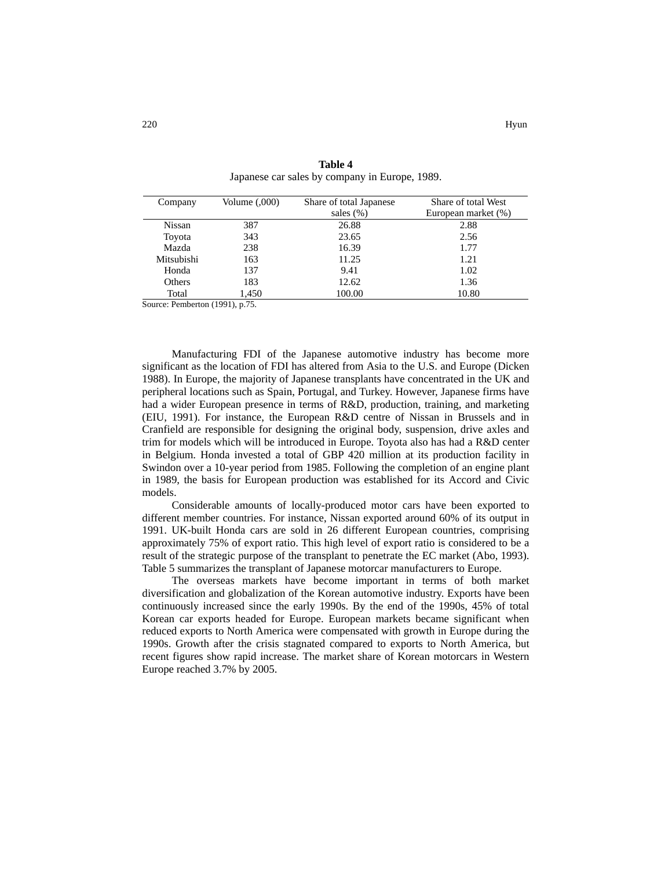| Company    | Volume (,000) | Share of total Japanese | Share of total West |
|------------|---------------|-------------------------|---------------------|
|            |               | sales $(\% )$           | European market (%) |
| Nissan     | 387           | 26.88                   | 2.88                |
| Toyota     | 343           | 23.65                   | 2.56                |
| Mazda      | 238           | 16.39                   | 1.77                |
| Mitsubishi | 163           | 11.25                   | 1.21                |
| Honda      | 137           | 9.41                    | 1.02                |
| Others     | 183           | 12.62                   | 1.36                |
| Total      | 1.450         | 100.00                  | 10.80               |

**Table 4**  Japanese car sales by company in Europe, 1989.

Source: Pemberton (1991), p.75.

Manufacturing FDI of the Japanese automotive industry has become more significant as the location of FDI has altered from Asia to the U.S. and Europe (Dicken 1988). In Europe, the majority of Japanese transplants have concentrated in the UK and peripheral locations such as Spain, Portugal, and Turkey. However, Japanese firms have had a wider European presence in terms of R&D, production, training, and marketing (EIU, 1991). For instance, the European R&D centre of Nissan in Brussels and in Cranfield are responsible for designing the original body, suspension, drive axles and trim for models which will be introduced in Europe. Toyota also has had a R&D center in Belgium. Honda invested a total of GBP 420 million at its production facility in Swindon over a 10-year period from 1985. Following the completion of an engine plant in 1989, the basis for European production was established for its Accord and Civic models.

Considerable amounts of locally-produced motor cars have been exported to different member countries. For instance, Nissan exported around 60% of its output in 1991. UK-built Honda cars are sold in 26 different European countries, comprising approximately 75% of export ratio. This high level of export ratio is considered to be a result of the strategic purpose of the transplant to penetrate the EC market (Abo, 1993). Table 5 summarizes the transplant of Japanese motorcar manufacturers to Europe.

The overseas markets have become important in terms of both market diversification and globalization of the Korean automotive industry. Exports have been continuously increased since the early 1990s. By the end of the 1990s, 45% of total Korean car exports headed for Europe. European markets became significant when reduced exports to North America were compensated with growth in Europe during the 1990s. Growth after the crisis stagnated compared to exports to North America, but recent figures show rapid increase. The market share of Korean motorcars in Western Europe reached 3.7% by 2005.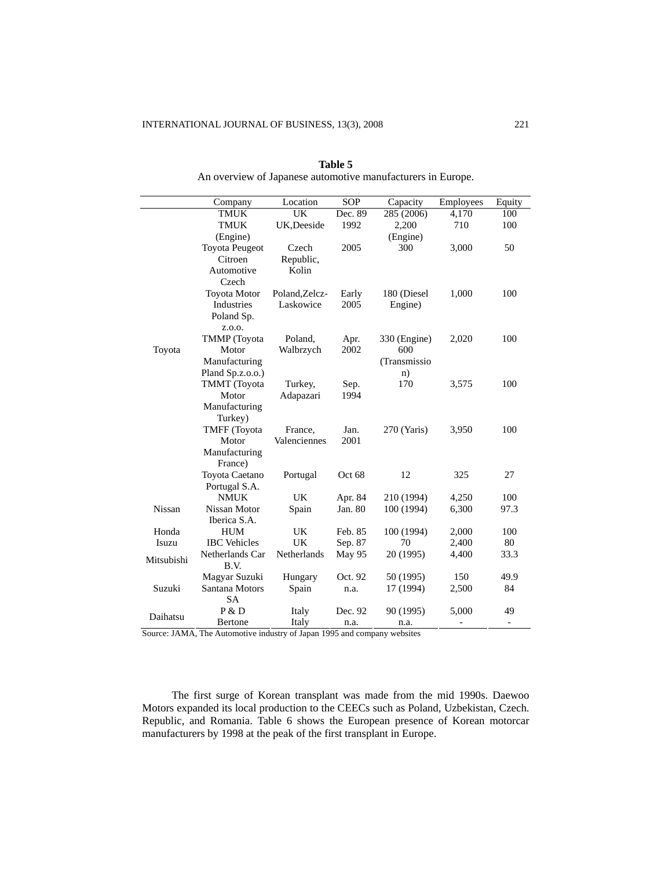Ĩ.

 $\overline{a}$ 

|            | Company                  | Location       | SOP     | Capacity     | Employees | Equity                   |
|------------|--------------------------|----------------|---------|--------------|-----------|--------------------------|
|            | <b>TMUK</b>              | UK             | Dec. 89 | 285 (2006)   | 4,170     | 100                      |
|            | <b>TMUK</b>              | UK, Deeside    | 1992    | 2,200        | 710       | 100                      |
|            | (Engine)                 |                |         | (Engine)     |           |                          |
|            | <b>Toyota Peugeot</b>    | Czech          | 2005    | 300          | 3,000     | 50                       |
|            | Citroen                  | Republic,      |         |              |           |                          |
|            | Automotive               | Kolin          |         |              |           |                          |
|            | Czech                    |                |         |              |           |                          |
|            | <b>Toyota Motor</b>      | Poland, Zelcz- | Early   | 180 (Diesel  | 1,000     | 100                      |
|            | Industries               | Laskowice      | 2005    | Engine)      |           |                          |
|            | Poland Sp.               |                |         |              |           |                          |
|            | Z.O.O.                   |                |         |              |           |                          |
|            | <b>TMMP</b> (Toyota      | Poland,        | Apr.    | 330 (Engine) | 2,020     | 100                      |
| Toyota     | Motor                    | Walbrzych      | 2002    | 600          |           |                          |
|            | Manufacturing            |                |         | (Transmissio |           |                          |
|            | Pland Sp.z.o.o.)         |                |         | n)           |           |                          |
|            | TMMT (Toyota             | Turkey,        | Sep.    | 170          | 3,575     | 100                      |
|            | Motor                    | Adapazari      | 1994    |              |           |                          |
|            | Manufacturing            |                |         |              |           |                          |
|            | Turkey)                  |                |         |              |           |                          |
|            | <b>TMFF</b> (Toyota      | France,        | Jan.    | 270 (Yaris)  | 3,950     | 100                      |
|            | Motor                    | Valenciennes   | 2001    |              |           |                          |
|            | Manufacturing<br>France) |                |         |              |           |                          |
|            | Toyota Caetano           | Portugal       | Oct 68  | 12           | 325       | 27                       |
|            | Portugal S.A.            |                |         |              |           |                          |
|            | <b>NMUK</b>              | UK             | Apr. 84 | 210 (1994)   | 4,250     | 100                      |
| Nissan     | Nissan Motor             | Spain          | Jan. 80 | 100 (1994)   | 6,300     | 97.3                     |
|            | Iberica S.A.             |                |         |              |           |                          |
| Honda      | <b>HUM</b>               | <b>UK</b>      | Feb. 85 | 100 (1994)   | 2,000     | 100                      |
| Isuzu      | <b>IBC</b> Vehicles      | UK             | Sep. 87 | 70           | 2,400     | 80                       |
|            | Netherlands Car          | Netherlands    | May 95  | 20 (1995)    | 4,400     | 33.3                     |
| Mitsubishi | B.V.                     |                |         |              |           |                          |
|            | Magyar Suzuki            | Hungary        | Oct. 92 | 50 (1995)    | 150       | 49.9                     |
| Suzuki     | Santana Motors           | Spain          | n.a.    | 17 (1994)    | 2,500     | 84                       |
|            | <b>SA</b>                |                |         |              |           |                          |
| Daihatsu   | P & D                    | Italy          | Dec. 92 | 90 (1995)    | 5,000     | 49                       |
|            | Bertone                  | Italy          | n.a.    | n.a.         |           | $\overline{\phantom{a}}$ |

**Table 5**  An overview of Japanese automotive manufacturers in Europe.

Source: JAMA, The Automotive industry of Japan 1995 and company websites

The first surge of Korean transplant was made from the mid 1990s. Daewoo Motors expanded its local production to the CEECs such as Poland, Uzbekistan, Czech. Republic, and Romania. Table 6 shows the European presence of Korean motorcar manufacturers by 1998 at the peak of the first transplant in Europe.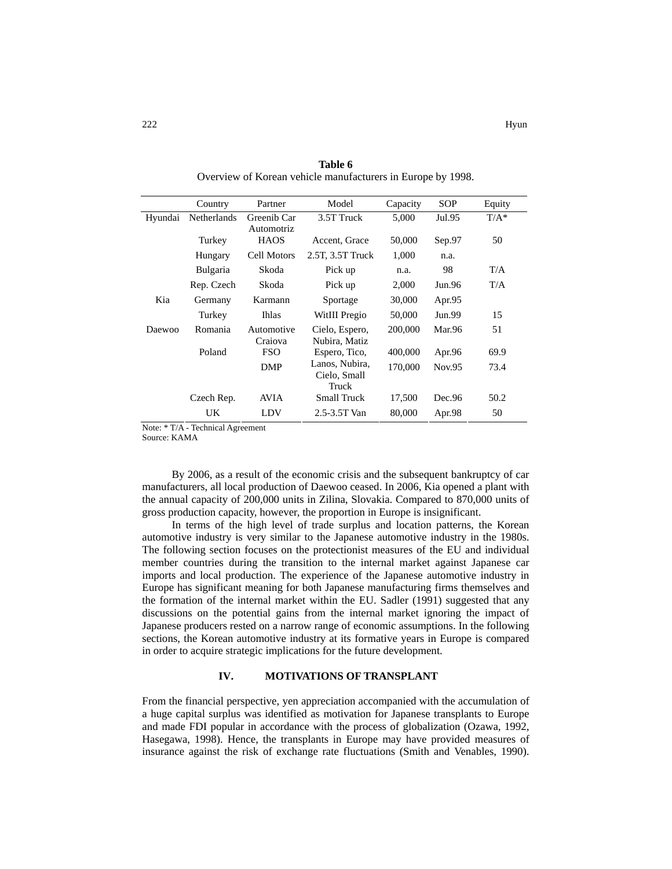|         | Country         | Partner                   | Model                                   | Capacity | <b>SOP</b> | Equity  |
|---------|-----------------|---------------------------|-----------------------------------------|----------|------------|---------|
| Hyundai | Netherlands     | Greenib Car<br>Automotriz | 3.5T Truck                              | 5,000    | Jul.95     | $T/A^*$ |
|         | Turkey          | <b>HAOS</b>               | Accent, Grace                           | 50,000   | Sep.97     | 50      |
|         | Hungary         | Cell Motors               | 2.5T, 3.5T Truck                        | 1,000    | n.a.       |         |
|         | <b>Bulgaria</b> | Skoda                     | Pick up                                 | n.a.     | 98         | T/A     |
|         | Rep. Czech      | Skoda                     | Pick up                                 | 2,000    | Jun.96     | T/A     |
| Kia     | Germany         | Karmann                   | Sportage                                | 30,000   | Apr.95     |         |
|         | Turkey          | Ihlas                     | WitIII Pregio                           | 50,000   | Jun.99     | 15      |
| Daewoo  | Romania         | Automotive<br>Craiova     | Cielo, Espero,<br>Nubira, Matiz         | 200,000  | Mar.96     | 51      |
|         | Poland          | <b>FSO</b>                | Espero, Tico,                           | 400,000  | Apr.96     | 69.9    |
|         |                 | DMP                       | Lanos, Nubira,<br>Cielo, Small<br>Truck | 170,000  | Nov.95     | 73.4    |
|         | Czech Rep.      | AVIA                      | <b>Small Truck</b>                      | 17,500   | Dec.96     | 50.2    |
|         | UK              | LDV                       | 2.5-3.5T Van                            | 80,000   | Apr.98     | 50      |

**Table 6**  Overview of Korean vehicle manufacturers in Europe by 1998.

Note: \* T/A - Technical Agreement

Source: KAMA

By 2006, as a result of the economic crisis and the subsequent bankruptcy of car manufacturers, all local production of Daewoo ceased. In 2006, Kia opened a plant with the annual capacity of 200,000 units in Zilina, Slovakia. Compared to 870,000 units of gross production capacity, however, the proportion in Europe is insignificant.

In terms of the high level of trade surplus and location patterns, the Korean automotive industry is very similar to the Japanese automotive industry in the 1980s. The following section focuses on the protectionist measures of the EU and individual member countries during the transition to the internal market against Japanese car imports and local production. The experience of the Japanese automotive industry in Europe has significant meaning for both Japanese manufacturing firms themselves and the formation of the internal market within the EU. Sadler (1991) suggested that any discussions on the potential gains from the internal market ignoring the impact of Japanese producers rested on a narrow range of economic assumptions. In the following sections, the Korean automotive industry at its formative years in Europe is compared in order to acquire strategic implications for the future development.

## **IV. MOTIVATIONS OF TRANSPLANT**

From the financial perspective, yen appreciation accompanied with the accumulation of a huge capital surplus was identified as motivation for Japanese transplants to Europe and made FDI popular in accordance with the process of globalization (Ozawa, 1992, Hasegawa, 1998). Hence, the transplants in Europe may have provided measures of insurance against the risk of exchange rate fluctuations (Smith and Venables, 1990).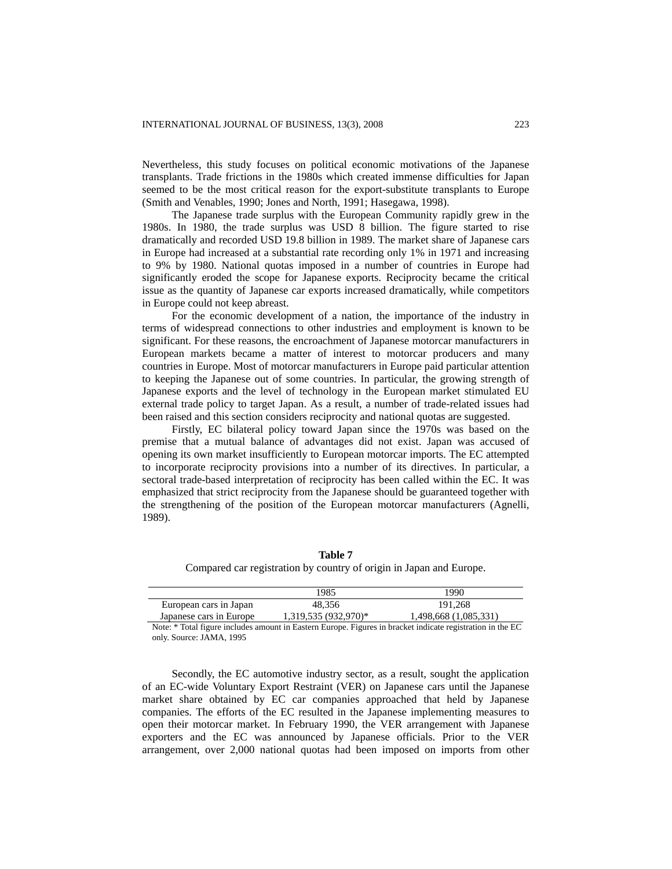Nevertheless, this study focuses on political economic motivations of the Japanese transplants. Trade frictions in the 1980s which created immense difficulties for Japan seemed to be the most critical reason for the export-substitute transplants to Europe (Smith and Venables, 1990; Jones and North, 1991; Hasegawa, 1998).

The Japanese trade surplus with the European Community rapidly grew in the 1980s. In 1980, the trade surplus was USD 8 billion. The figure started to rise dramatically and recorded USD 19.8 billion in 1989. The market share of Japanese cars in Europe had increased at a substantial rate recording only 1% in 1971 and increasing to 9% by 1980. National quotas imposed in a number of countries in Europe had significantly eroded the scope for Japanese exports. Reciprocity became the critical issue as the quantity of Japanese car exports increased dramatically, while competitors in Europe could not keep abreast.

For the economic development of a nation, the importance of the industry in terms of widespread connections to other industries and employment is known to be significant. For these reasons, the encroachment of Japanese motorcar manufacturers in European markets became a matter of interest to motorcar producers and many countries in Europe. Most of motorcar manufacturers in Europe paid particular attention to keeping the Japanese out of some countries. In particular, the growing strength of Japanese exports and the level of technology in the European market stimulated EU external trade policy to target Japan. As a result, a number of trade-related issues had been raised and this section considers reciprocity and national quotas are suggested.

Firstly, EC bilateral policy toward Japan since the 1970s was based on the premise that a mutual balance of advantages did not exist. Japan was accused of opening its own market insufficiently to European motorcar imports. The EC attempted to incorporate reciprocity provisions into a number of its directives. In particular, a sectoral trade-based interpretation of reciprocity has been called within the EC. It was emphasized that strict reciprocity from the Japanese should be guaranteed together with the strengthening of the position of the European motorcar manufacturers (Agnelli, 1989).

**Table 7**  Compared car registration by country of origin in Japan and Europe.

|                         | 1985                   | 1990                  |
|-------------------------|------------------------|-----------------------|
| European cars in Japan  | 48.356                 | 191.268               |
| Japanese cars in Europe | $1,319,535(932,970)$ * | 1,498,668 (1,085,331) |

Note: \* Total figure includes amount in Eastern Europe. Figures in bracket indicate registration in the EC only. Source: JAMA, 1995

Secondly, the EC automotive industry sector, as a result, sought the application of an EC-wide Voluntary Export Restraint (VER) on Japanese cars until the Japanese market share obtained by EC car companies approached that held by Japanese companies. The efforts of the EC resulted in the Japanese implementing measures to open their motorcar market. In February 1990, the VER arrangement with Japanese exporters and the EC was announced by Japanese officials. Prior to the VER arrangement, over 2,000 national quotas had been imposed on imports from other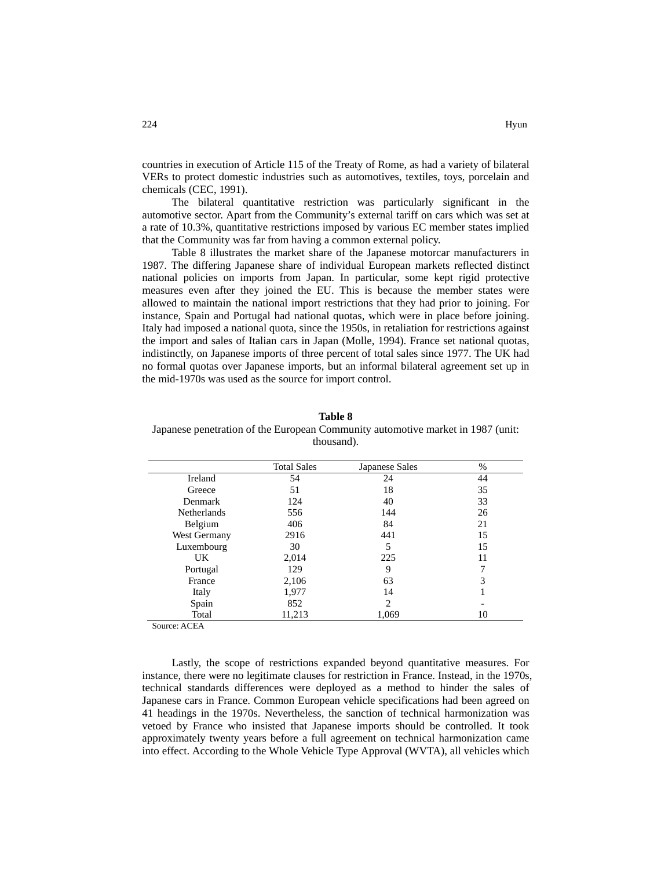countries in execution of Article 115 of the Treaty of Rome, as had a variety of bilateral VERs to protect domestic industries such as automotives, textiles, toys, porcelain and chemicals (CEC, 1991).

The bilateral quantitative restriction was particularly significant in the automotive sector. Apart from the Community's external tariff on cars which was set at a rate of 10.3%, quantitative restrictions imposed by various EC member states implied that the Community was far from having a common external policy.

Table 8 illustrates the market share of the Japanese motorcar manufacturers in 1987. The differing Japanese share of individual European markets reflected distinct national policies on imports from Japan. In particular, some kept rigid protective measures even after they joined the EU. This is because the member states were allowed to maintain the national import restrictions that they had prior to joining. For instance, Spain and Portugal had national quotas, which were in place before joining. Italy had imposed a national quota, since the 1950s, in retaliation for restrictions against the import and sales of Italian cars in Japan (Molle, 1994). France set national quotas, indistinctly, on Japanese imports of three percent of total sales since 1977. The UK had no formal quotas over Japanese imports, but an informal bilateral agreement set up in the mid-1970s was used as the source for import control.

**Table 8**  Japanese penetration of the European Community automotive market in 1987 (unit: thousand).

|                    | <b>Total Sales</b> | Japanese Sales | %  |
|--------------------|--------------------|----------------|----|
| Ireland            | 54                 | 24             | 44 |
| Greece             | 51                 | 18             | 35 |
| Denmark            | 124                | 40             | 33 |
| <b>Netherlands</b> | 556                | 144            | 26 |
| Belgium            | 406                | 84             | 21 |
| West Germany       | 2916               | 441            | 15 |
| Luxembourg         | 30                 | 5              | 15 |
| UK.                | 2,014              | 225            | 11 |
| Portugal           | 129                | 9              | 7  |
| France             | 2,106              | 63             | 3  |
| Italy              | 1,977              | 14             |    |
| Spain              | 852                | 2              |    |
| Total              | 11,213             | 1,069          | 10 |

Source: ACEA

Lastly, the scope of restrictions expanded beyond quantitative measures. For instance, there were no legitimate clauses for restriction in France. Instead, in the 1970s, technical standards differences were deployed as a method to hinder the sales of Japanese cars in France. Common European vehicle specifications had been agreed on 41 headings in the 1970s. Nevertheless, the sanction of technical harmonization was vetoed by France who insisted that Japanese imports should be controlled. It took approximately twenty years before a full agreement on technical harmonization came into effect. According to the Whole Vehicle Type Approval (WVTA), all vehicles which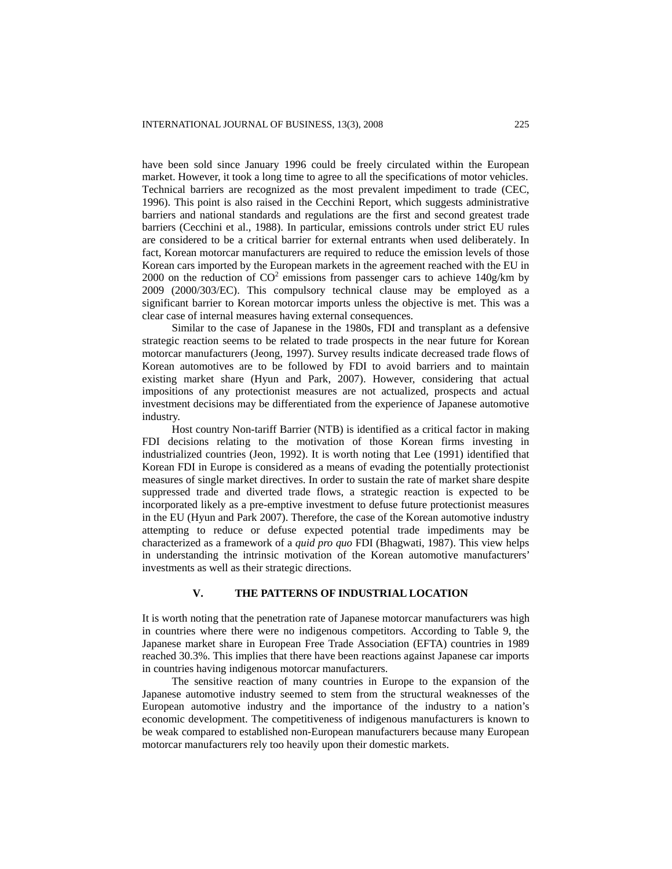have been sold since January 1996 could be freely circulated within the European market. However, it took a long time to agree to all the specifications of motor vehicles. Technical barriers are recognized as the most prevalent impediment to trade (CEC, 1996). This point is also raised in the Cecchini Report, which suggests administrative barriers and national standards and regulations are the first and second greatest trade barriers (Cecchini et al., 1988). In particular, emissions controls under strict EU rules are considered to be a critical barrier for external entrants when used deliberately. In fact, Korean motorcar manufacturers are required to reduce the emission levels of those Korean cars imported by the European markets in the agreement reached with the EU in 2000 on the reduction of  $CO^2$  emissions from passenger cars to achieve 140g/km by 2009 (2000/303/EC). This compulsory technical clause may be employed as a significant barrier to Korean motorcar imports unless the objective is met. This was a clear case of internal measures having external consequences.

Similar to the case of Japanese in the 1980s, FDI and transplant as a defensive strategic reaction seems to be related to trade prospects in the near future for Korean motorcar manufacturers (Jeong, 1997). Survey results indicate decreased trade flows of Korean automotives are to be followed by FDI to avoid barriers and to maintain existing market share (Hyun and Park, 2007). However, considering that actual impositions of any protectionist measures are not actualized, prospects and actual investment decisions may be differentiated from the experience of Japanese automotive industry.

Host country Non-tariff Barrier (NTB) is identified as a critical factor in making FDI decisions relating to the motivation of those Korean firms investing in industrialized countries (Jeon, 1992). It is worth noting that Lee (1991) identified that Korean FDI in Europe is considered as a means of evading the potentially protectionist measures of single market directives. In order to sustain the rate of market share despite suppressed trade and diverted trade flows, a strategic reaction is expected to be incorporated likely as a pre-emptive investment to defuse future protectionist measures in the EU (Hyun and Park 2007). Therefore, the case of the Korean automotive industry attempting to reduce or defuse expected potential trade impediments may be characterized as a framework of a *quid pro quo* FDI (Bhagwati, 1987). This view helps in understanding the intrinsic motivation of the Korean automotive manufacturers' investments as well as their strategic directions.

#### **V. THE PATTERNS OF INDUSTRIAL LOCATION**

It is worth noting that the penetration rate of Japanese motorcar manufacturers was high in countries where there were no indigenous competitors. According to Table 9, the Japanese market share in European Free Trade Association (EFTA) countries in 1989 reached 30.3%. This implies that there have been reactions against Japanese car imports in countries having indigenous motorcar manufacturers.

The sensitive reaction of many countries in Europe to the expansion of the Japanese automotive industry seemed to stem from the structural weaknesses of the European automotive industry and the importance of the industry to a nation's economic development. The competitiveness of indigenous manufacturers is known to be weak compared to established non-European manufacturers because many European motorcar manufacturers rely too heavily upon their domestic markets.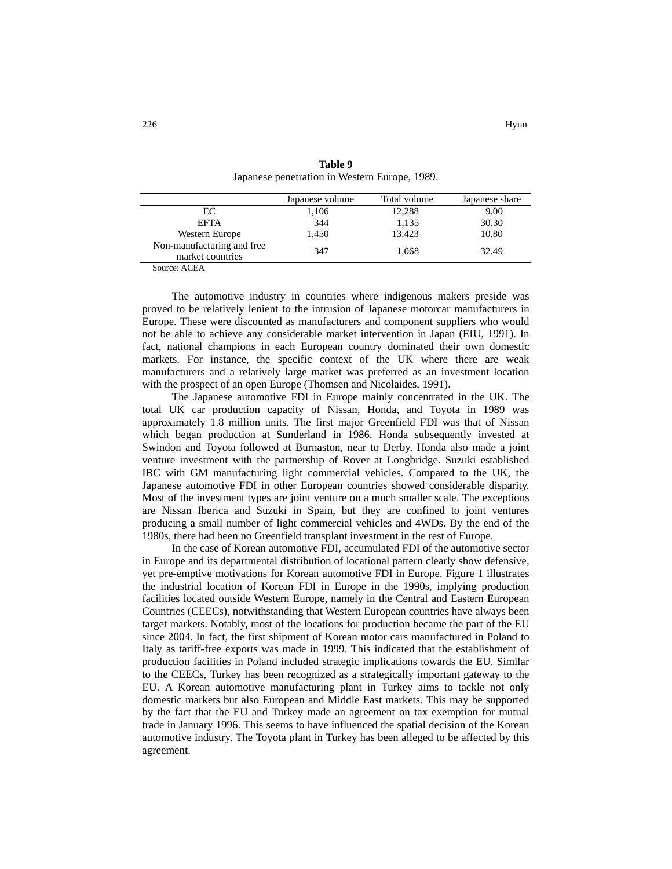|                                                | Japanese volume | Total volume | Japanese share |
|------------------------------------------------|-----------------|--------------|----------------|
| EС                                             | 1,106           | 12,288       | 9.00           |
| <b>EFTA</b>                                    | 344             | 1,135        | 30.30          |
| Western Europe                                 | 1.450           | 13.423       | 10.80          |
| Non-manufacturing and free<br>market countries | 347             | 1.068        | 32.49          |
| $\sim$ $\sim$ $\sim$ $\sim$<br>$\sim$          |                 |              |                |

**Table 9**  Japanese penetration in Western Europe, 1989.

Source: ACEA

The automotive industry in countries where indigenous makers preside was proved to be relatively lenient to the intrusion of Japanese motorcar manufacturers in Europe. These were discounted as manufacturers and component suppliers who would not be able to achieve any considerable market intervention in Japan (EIU, 1991). In fact, national champions in each European country dominated their own domestic markets. For instance, the specific context of the UK where there are weak manufacturers and a relatively large market was preferred as an investment location with the prospect of an open Europe (Thomsen and Nicolaides, 1991).

The Japanese automotive FDI in Europe mainly concentrated in the UK. The total UK car production capacity of Nissan, Honda, and Toyota in 1989 was approximately 1.8 million units. The first major Greenfield FDI was that of Nissan which began production at Sunderland in 1986. Honda subsequently invested at Swindon and Toyota followed at Burnaston, near to Derby. Honda also made a joint venture investment with the partnership of Rover at Longbridge. Suzuki established IBC with GM manufacturing light commercial vehicles. Compared to the UK, the Japanese automotive FDI in other European countries showed considerable disparity. Most of the investment types are joint venture on a much smaller scale. The exceptions are Nissan Iberica and Suzuki in Spain, but they are confined to joint ventures producing a small number of light commercial vehicles and 4WDs. By the end of the 1980s, there had been no Greenfield transplant investment in the rest of Europe.

In the case of Korean automotive FDI, accumulated FDI of the automotive sector in Europe and its departmental distribution of locational pattern clearly show defensive, yet pre-emptive motivations for Korean automotive FDI in Europe. Figure 1 illustrates the industrial location of Korean FDI in Europe in the 1990s, implying production facilities located outside Western Europe, namely in the Central and Eastern European Countries (CEECs), notwithstanding that Western European countries have always been target markets. Notably, most of the locations for production became the part of the EU since 2004. In fact, the first shipment of Korean motor cars manufactured in Poland to Italy as tariff-free exports was made in 1999. This indicated that the establishment of production facilities in Poland included strategic implications towards the EU. Similar to the CEECs, Turkey has been recognized as a strategically important gateway to the EU. A Korean automotive manufacturing plant in Turkey aims to tackle not only domestic markets but also European and Middle East markets. This may be supported by the fact that the EU and Turkey made an agreement on tax exemption for mutual trade in January 1996. This seems to have influenced the spatial decision of the Korean automotive industry. The Toyota plant in Turkey has been alleged to be affected by this agreement.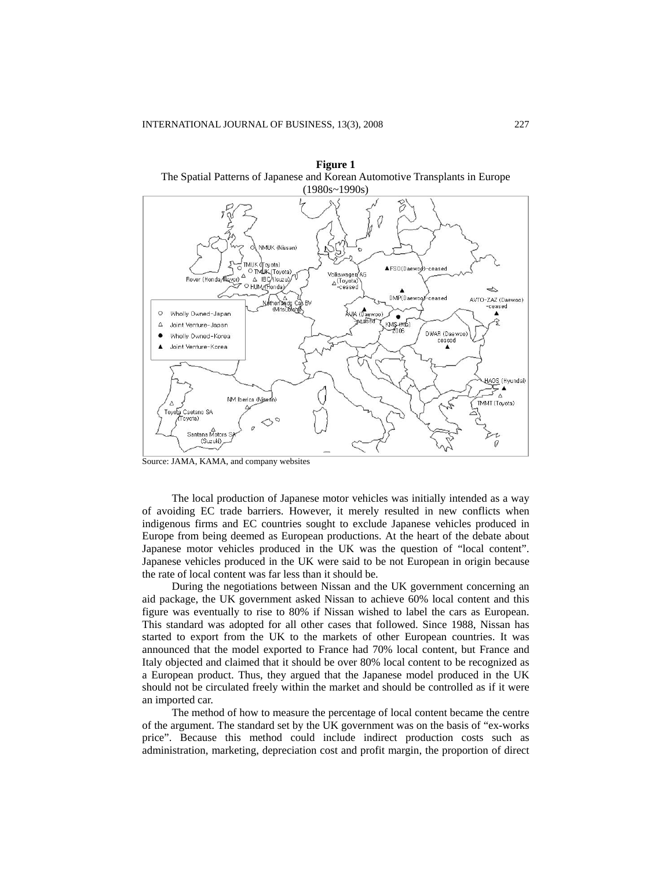

**Figure 1**  The Spatial Patterns of Japanese and Korean Automotive Transplants in Europe

Source: JAMA, KAMA, and company websites

The local production of Japanese motor vehicles was initially intended as a way of avoiding EC trade barriers. However, it merely resulted in new conflicts when indigenous firms and EC countries sought to exclude Japanese vehicles produced in Europe from being deemed as European productions. At the heart of the debate about Japanese motor vehicles produced in the UK was the question of "local content". Japanese vehicles produced in the UK were said to be not European in origin because the rate of local content was far less than it should be.

During the negotiations between Nissan and the UK government concerning an aid package, the UK government asked Nissan to achieve 60% local content and this figure was eventually to rise to 80% if Nissan wished to label the cars as European. This standard was adopted for all other cases that followed. Since 1988, Nissan has started to export from the UK to the markets of other European countries. It was announced that the model exported to France had 70% local content, but France and Italy objected and claimed that it should be over 80% local content to be recognized as a European product. Thus, they argued that the Japanese model produced in the UK should not be circulated freely within the market and should be controlled as if it were an imported car.

The method of how to measure the percentage of local content became the centre of the argument. The standard set by the UK government was on the basis of "ex-works price". Because this method could include indirect production costs such as administration, marketing, depreciation cost and profit margin, the proportion of direct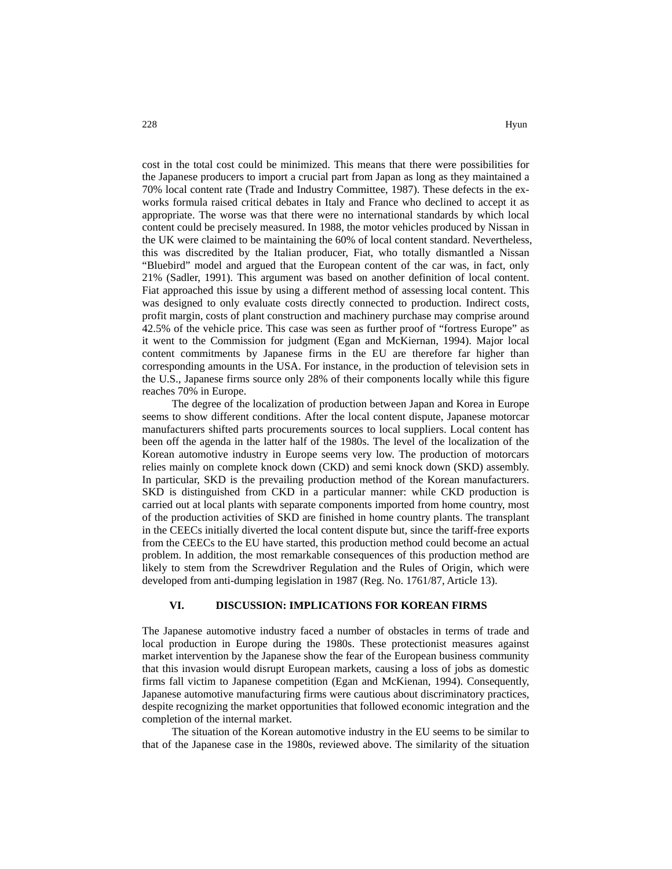cost in the total cost could be minimized. This means that there were possibilities for the Japanese producers to import a crucial part from Japan as long as they maintained a 70% local content rate (Trade and Industry Committee, 1987). These defects in the exworks formula raised critical debates in Italy and France who declined to accept it as appropriate. The worse was that there were no international standards by which local content could be precisely measured. In 1988, the motor vehicles produced by Nissan in the UK were claimed to be maintaining the 60% of local content standard. Nevertheless, this was discredited by the Italian producer, Fiat, who totally dismantled a Nissan "Bluebird" model and argued that the European content of the car was, in fact, only 21% (Sadler, 1991). This argument was based on another definition of local content. Fiat approached this issue by using a different method of assessing local content. This was designed to only evaluate costs directly connected to production. Indirect costs, profit margin, costs of plant construction and machinery purchase may comprise around 42.5% of the vehicle price. This case was seen as further proof of "fortress Europe" as it went to the Commission for judgment (Egan and McKiernan, 1994). Major local content commitments by Japanese firms in the EU are therefore far higher than corresponding amounts in the USA. For instance, in the production of television sets in the U.S., Japanese firms source only 28% of their components locally while this figure reaches 70% in Europe.

The degree of the localization of production between Japan and Korea in Europe seems to show different conditions. After the local content dispute, Japanese motorcar manufacturers shifted parts procurements sources to local suppliers. Local content has been off the agenda in the latter half of the 1980s. The level of the localization of the Korean automotive industry in Europe seems very low. The production of motorcars relies mainly on complete knock down (CKD) and semi knock down (SKD) assembly. In particular, SKD is the prevailing production method of the Korean manufacturers. SKD is distinguished from CKD in a particular manner: while CKD production is carried out at local plants with separate components imported from home country, most of the production activities of SKD are finished in home country plants. The transplant in the CEECs initially diverted the local content dispute but, since the tariff-free exports from the CEECs to the EU have started, this production method could become an actual problem. In addition, the most remarkable consequences of this production method are likely to stem from the Screwdriver Regulation and the Rules of Origin, which were developed from anti-dumping legislation in 1987 (Reg. No. 1761/87, Article 13).

#### **VI. DISCUSSION: IMPLICATIONS FOR KOREAN FIRMS**

The Japanese automotive industry faced a number of obstacles in terms of trade and local production in Europe during the 1980s. These protectionist measures against market intervention by the Japanese show the fear of the European business community that this invasion would disrupt European markets, causing a loss of jobs as domestic firms fall victim to Japanese competition (Egan and McKienan, 1994). Consequently, Japanese automotive manufacturing firms were cautious about discriminatory practices, despite recognizing the market opportunities that followed economic integration and the completion of the internal market.

The situation of the Korean automotive industry in the EU seems to be similar to that of the Japanese case in the 1980s, reviewed above. The similarity of the situation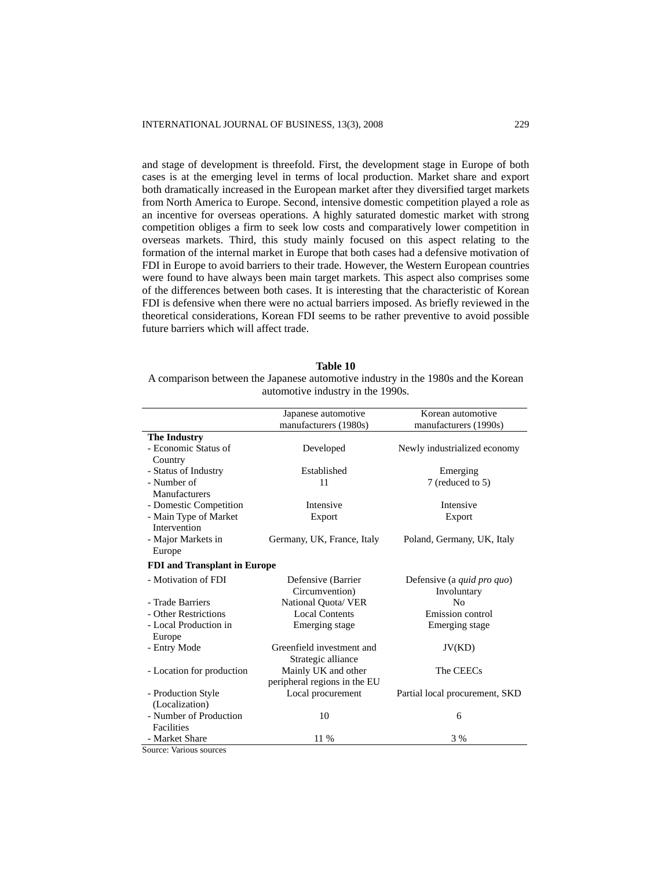and stage of development is threefold. First, the development stage in Europe of both cases is at the emerging level in terms of local production. Market share and export both dramatically increased in the European market after they diversified target markets from North America to Europe. Second, intensive domestic competition played a role as an incentive for overseas operations. A highly saturated domestic market with strong competition obliges a firm to seek low costs and comparatively lower competition in overseas markets. Third, this study mainly focused on this aspect relating to the formation of the internal market in Europe that both cases had a defensive motivation of FDI in Europe to avoid barriers to their trade. However, the Western European countries were found to have always been main target markets. This aspect also comprises some of the differences between both cases. It is interesting that the characteristic of Korean FDI is defensive when there were no actual barriers imposed. As briefly reviewed in the theoretical considerations, Korean FDI seems to be rather preventive to avoid possible future barriers which will affect trade.

| Table IV                                                                          |
|-----------------------------------------------------------------------------------|
| A comparison between the Japanese automotive industry in the 1980s and the Korean |
| automotive industry in the 1990s.                                                 |

|                                     | Japanese automotive<br>manufacturers (1980s) | Korean automotive<br>manufacturers (1990s) |
|-------------------------------------|----------------------------------------------|--------------------------------------------|
| <b>The Industry</b>                 |                                              |                                            |
| - Economic Status of                | Developed                                    | Newly industrialized economy               |
| Country                             |                                              |                                            |
| - Status of Industry                | Established                                  | Emerging                                   |
| - Number of                         | 11                                           | 7 (reduced to 5)                           |
| Manufacturers                       |                                              |                                            |
| - Domestic Competition              | Intensive                                    | Intensive                                  |
| - Main Type of Market               | Export                                       | Export                                     |
| Intervention                        |                                              |                                            |
| - Major Markets in                  | Germany, UK, France, Italy                   | Poland, Germany, UK, Italy                 |
| Europe                              |                                              |                                            |
| <b>FDI</b> and Transplant in Europe |                                              |                                            |
| - Motivation of FDI                 | Defensive (Barrier                           | Defensive (a quid pro quo)                 |
|                                     | Circumvention)                               | Involuntary                                |
| - Trade Barriers                    | National Quota/VER                           | N <sub>0</sub>                             |
| - Other Restrictions                | <b>Local Contents</b>                        | Emission control                           |
| - Local Production in               | Emerging stage                               | Emerging stage                             |
| Europe                              |                                              |                                            |
| - Entry Mode                        | Greenfield investment and                    | JV(KD)                                     |
|                                     | Strategic alliance                           |                                            |
| - Location for production           | Mainly UK and other                          | The CEECs                                  |
|                                     | peripheral regions in the EU                 |                                            |
| - Production Style                  | Local procurement                            | Partial local procurement, SKD             |
| (Localization)                      |                                              |                                            |
| - Number of Production              | 10                                           | 6                                          |
| Facilities                          |                                              |                                            |
| - Market Share                      | 11 %                                         | 3%                                         |
| Source: Various sources             |                                              |                                            |

**Table 10** 

Source: Various sources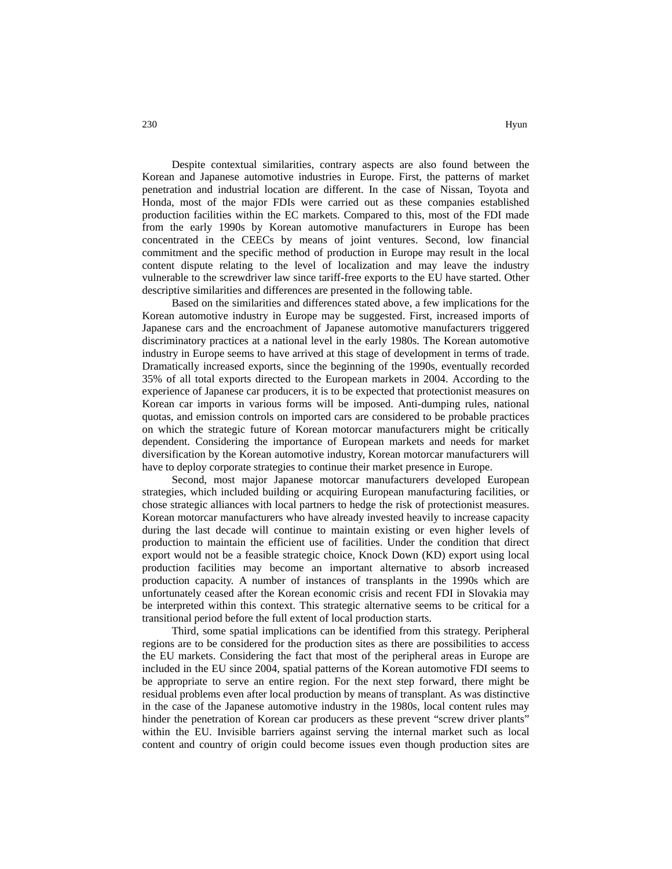Despite contextual similarities, contrary aspects are also found between the Korean and Japanese automotive industries in Europe. First, the patterns of market penetration and industrial location are different. In the case of Nissan, Toyota and Honda, most of the major FDIs were carried out as these companies established production facilities within the EC markets. Compared to this, most of the FDI made from the early 1990s by Korean automotive manufacturers in Europe has been concentrated in the CEECs by means of joint ventures. Second, low financial commitment and the specific method of production in Europe may result in the local content dispute relating to the level of localization and may leave the industry vulnerable to the screwdriver law since tariff-free exports to the EU have started. Other descriptive similarities and differences are presented in the following table.

Based on the similarities and differences stated above, a few implications for the Korean automotive industry in Europe may be suggested. First, increased imports of Japanese cars and the encroachment of Japanese automotive manufacturers triggered discriminatory practices at a national level in the early 1980s. The Korean automotive industry in Europe seems to have arrived at this stage of development in terms of trade. Dramatically increased exports, since the beginning of the 1990s, eventually recorded 35% of all total exports directed to the European markets in 2004. According to the experience of Japanese car producers, it is to be expected that protectionist measures on Korean car imports in various forms will be imposed. Anti-dumping rules, national quotas, and emission controls on imported cars are considered to be probable practices on which the strategic future of Korean motorcar manufacturers might be critically dependent. Considering the importance of European markets and needs for market diversification by the Korean automotive industry, Korean motorcar manufacturers will have to deploy corporate strategies to continue their market presence in Europe.

Second, most major Japanese motorcar manufacturers developed European strategies, which included building or acquiring European manufacturing facilities, or chose strategic alliances with local partners to hedge the risk of protectionist measures. Korean motorcar manufacturers who have already invested heavily to increase capacity during the last decade will continue to maintain existing or even higher levels of production to maintain the efficient use of facilities. Under the condition that direct export would not be a feasible strategic choice, Knock Down (KD) export using local production facilities may become an important alternative to absorb increased production capacity. A number of instances of transplants in the 1990s which are unfortunately ceased after the Korean economic crisis and recent FDI in Slovakia may be interpreted within this context. This strategic alternative seems to be critical for a transitional period before the full extent of local production starts.

Third, some spatial implications can be identified from this strategy. Peripheral regions are to be considered for the production sites as there are possibilities to access the EU markets. Considering the fact that most of the peripheral areas in Europe are included in the EU since 2004, spatial patterns of the Korean automotive FDI seems to be appropriate to serve an entire region. For the next step forward, there might be residual problems even after local production by means of transplant. As was distinctive in the case of the Japanese automotive industry in the 1980s, local content rules may hinder the penetration of Korean car producers as these prevent "screw driver plants" within the EU. Invisible barriers against serving the internal market such as local content and country of origin could become issues even though production sites are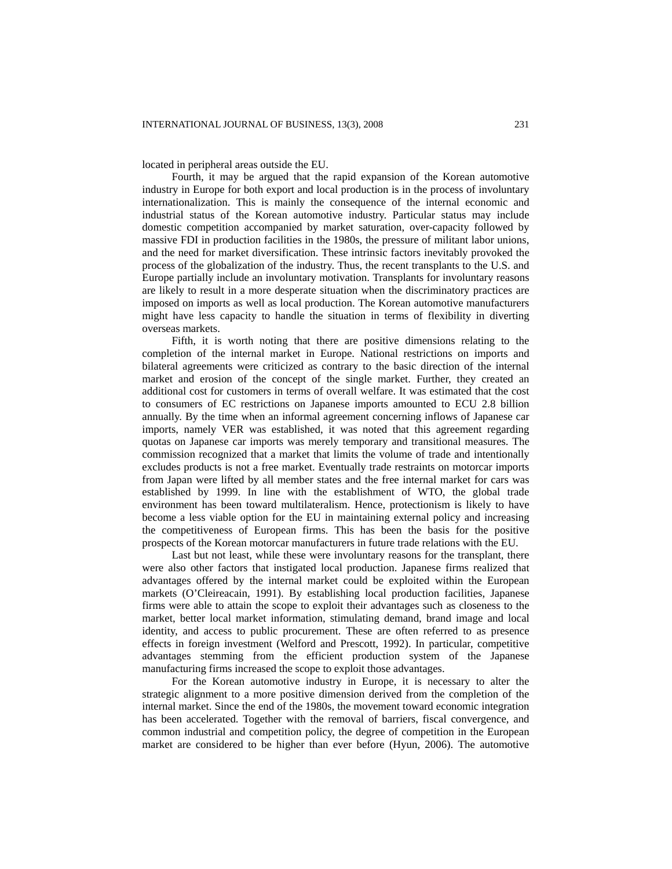located in peripheral areas outside the EU.

Fourth, it may be argued that the rapid expansion of the Korean automotive industry in Europe for both export and local production is in the process of involuntary internationalization. This is mainly the consequence of the internal economic and industrial status of the Korean automotive industry. Particular status may include domestic competition accompanied by market saturation, over-capacity followed by massive FDI in production facilities in the 1980s, the pressure of militant labor unions, and the need for market diversification. These intrinsic factors inevitably provoked the process of the globalization of the industry. Thus, the recent transplants to the U.S. and Europe partially include an involuntary motivation. Transplants for involuntary reasons are likely to result in a more desperate situation when the discriminatory practices are imposed on imports as well as local production. The Korean automotive manufacturers might have less capacity to handle the situation in terms of flexibility in diverting overseas markets.

Fifth, it is worth noting that there are positive dimensions relating to the completion of the internal market in Europe. National restrictions on imports and bilateral agreements were criticized as contrary to the basic direction of the internal market and erosion of the concept of the single market. Further, they created an additional cost for customers in terms of overall welfare. It was estimated that the cost to consumers of EC restrictions on Japanese imports amounted to ECU 2.8 billion annually. By the time when an informal agreement concerning inflows of Japanese car imports, namely VER was established, it was noted that this agreement regarding quotas on Japanese car imports was merely temporary and transitional measures. The commission recognized that a market that limits the volume of trade and intentionally excludes products is not a free market. Eventually trade restraints on motorcar imports from Japan were lifted by all member states and the free internal market for cars was established by 1999. In line with the establishment of WTO, the global trade environment has been toward multilateralism. Hence, protectionism is likely to have become a less viable option for the EU in maintaining external policy and increasing the competitiveness of European firms. This has been the basis for the positive prospects of the Korean motorcar manufacturers in future trade relations with the EU.

Last but not least, while these were involuntary reasons for the transplant, there were also other factors that instigated local production. Japanese firms realized that advantages offered by the internal market could be exploited within the European markets (O'Cleireacain, 1991). By establishing local production facilities, Japanese firms were able to attain the scope to exploit their advantages such as closeness to the market, better local market information, stimulating demand, brand image and local identity, and access to public procurement. These are often referred to as presence effects in foreign investment (Welford and Prescott, 1992). In particular, competitive advantages stemming from the efficient production system of the Japanese manufacturing firms increased the scope to exploit those advantages.

For the Korean automotive industry in Europe, it is necessary to alter the strategic alignment to a more positive dimension derived from the completion of the internal market. Since the end of the 1980s, the movement toward economic integration has been accelerated. Together with the removal of barriers, fiscal convergence, and common industrial and competition policy, the degree of competition in the European market are considered to be higher than ever before (Hyun, 2006). The automotive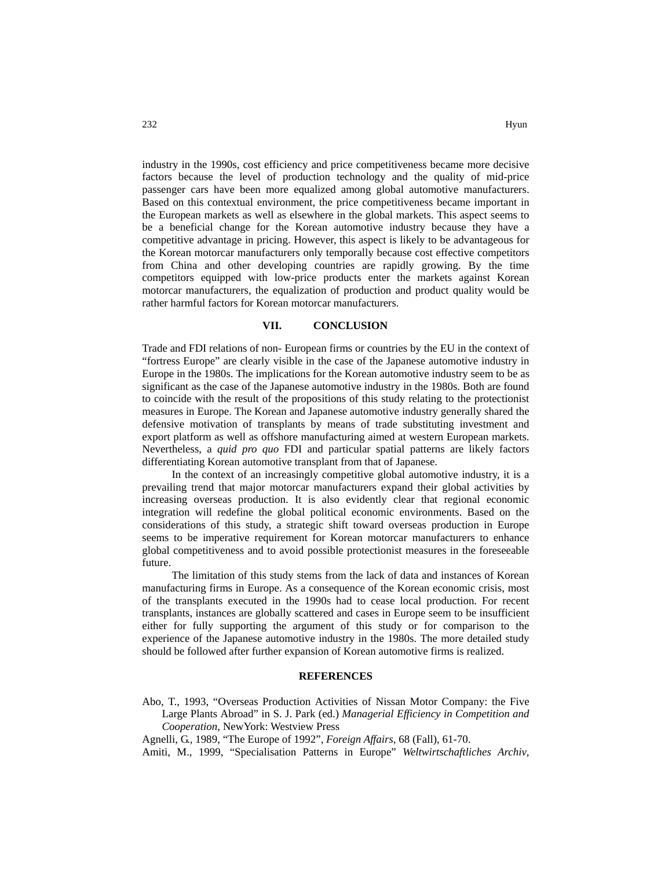industry in the 1990s, cost efficiency and price competitiveness became more decisive factors because the level of production technology and the quality of mid-price passenger cars have been more equalized among global automotive manufacturers. Based on this contextual environment, the price competitiveness became important in the European markets as well as elsewhere in the global markets. This aspect seems to be a beneficial change for the Korean automotive industry because they have a competitive advantage in pricing. However, this aspect is likely to be advantageous for the Korean motorcar manufacturers only temporally because cost effective competitors from China and other developing countries are rapidly growing. By the time competitors equipped with low-price products enter the markets against Korean motorcar manufacturers, the equalization of production and product quality would be rather harmful factors for Korean motorcar manufacturers.

#### **VII. CONCLUSION**

Trade and FDI relations of non- European firms or countries by the EU in the context of "fortress Europe" are clearly visible in the case of the Japanese automotive industry in Europe in the 1980s. The implications for the Korean automotive industry seem to be as significant as the case of the Japanese automotive industry in the 1980s. Both are found to coincide with the result of the propositions of this study relating to the protectionist measures in Europe. The Korean and Japanese automotive industry generally shared the defensive motivation of transplants by means of trade substituting investment and export platform as well as offshore manufacturing aimed at western European markets. Nevertheless, a *quid pro quo* FDI and particular spatial patterns are likely factors differentiating Korean automotive transplant from that of Japanese.

In the context of an increasingly competitive global automotive industry, it is a prevailing trend that major motorcar manufacturers expand their global activities by increasing overseas production. It is also evidently clear that regional economic integration will redefine the global political economic environments. Based on the considerations of this study, a strategic shift toward overseas production in Europe seems to be imperative requirement for Korean motorcar manufacturers to enhance global competitiveness and to avoid possible protectionist measures in the foreseeable future.

The limitation of this study stems from the lack of data and instances of Korean manufacturing firms in Europe. As a consequence of the Korean economic crisis, most of the transplants executed in the 1990s had to cease local production. For recent transplants, instances are globally scattered and cases in Europe seem to be insufficient either for fully supporting the argument of this study or for comparison to the experience of the Japanese automotive industry in the 1980s. The more detailed study should be followed after further expansion of Korean automotive firms is realized.

#### **REFERENCES**

Abo, T., 1993, "Overseas Production Activities of Nissan Motor Company: the Five Large Plants Abroad" in S. J. Park (ed.) *Managerial Efficiency in Competition and Cooperation*, NewYork: Westview Press

Agnelli, G., 1989, "The Europe of 1992", *Foreign Affairs*, 68 (Fall), 61-70.

Amiti, M., 1999, "Specialisation Patterns in Europe" *Weltwirtschaftliches Archiv,*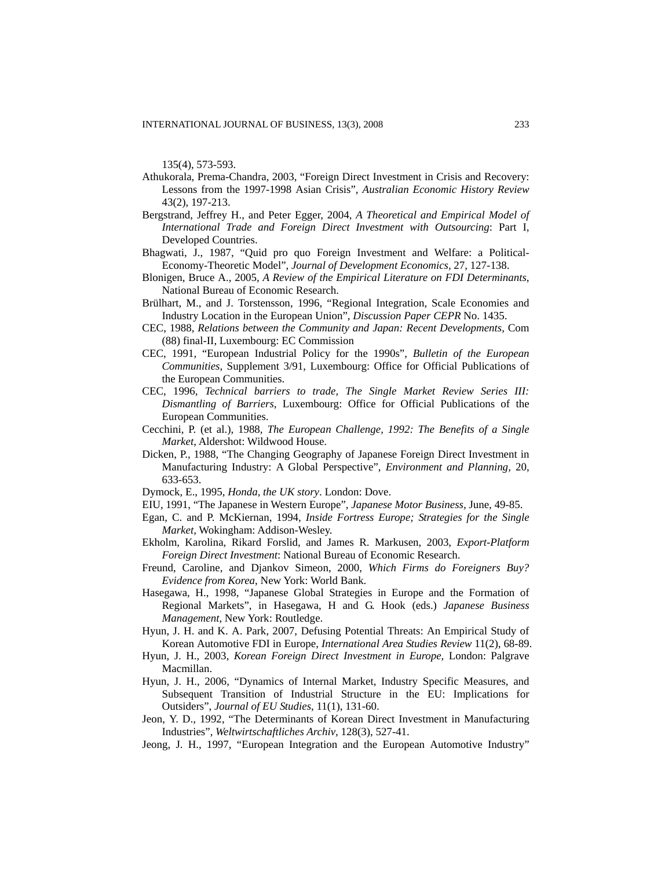135(4), 573-593.

- Athukorala, Prema-Chandra, 2003, "Foreign Direct Investment in Crisis and Recovery: Lessons from the 1997-1998 Asian Crisis", *Australian Economic History Review* 43(2), 197-213.
- Bergstrand, Jeffrey H., and Peter Egger, 2004, *A Theoretical and Empirical Model of International Trade and Foreign Direct Investment with Outsourcing*: Part I, Developed Countries.
- Bhagwati, J., 1987, "Quid pro quo Foreign Investment and Welfare: a Political-Economy-Theoretic Model", *Journal of Development Economics,* 27, 127-138.
- Blonigen, Bruce A., 2005, *A Review of the Empirical Literature on FDI Determinants*, National Bureau of Economic Research.
- Brülhart, M., and J. Torstensson, 1996, "Regional Integration, Scale Economies and Industry Location in the European Union", *Discussion Paper CEPR* No. 1435.
- CEC, 1988, *Relations between the Community and Japan: Recent Developments*, Com (88) final-II, Luxembourg: EC Commission
- CEC, 1991, "European Industrial Policy for the 1990s", *Bulletin of the European Communities*, Supplement 3/91, Luxembourg: Office for Official Publications of the European Communities.
- CEC, 1996, *Technical barriers to trade, The Single Market Review Series III: Dismantling of Barriers*, Luxembourg: Office for Official Publications of the European Communities.
- Cecchini, P. (et al.), 1988, *The European Challenge, 1992: The Benefits of a Single Market*, Aldershot: Wildwood House.
- Dicken, P., 1988, "The Changing Geography of Japanese Foreign Direct Investment in Manufacturing Industry: A Global Perspective", *Environment and Planning,* 20, 633-653.
- Dymock, E., 1995, *Honda, the UK story*. London: Dove.
- EIU, 1991, "The Japanese in Western Europe", *Japanese Motor Business,* June, 49-85.
- Egan, C. and P. McKiernan, 1994, *Inside Fortress Europe; Strategies for the Single Market*, Wokingham: Addison-Wesley.
- Ekholm, Karolina, Rikard Forslid, and James R. Markusen, 2003, *Export-Platform Foreign Direct Investment*: National Bureau of Economic Research.
- Freund, Caroline, and Djankov Simeon, 2000, *Which Firms do Foreigners Buy? Evidence from Korea*, New York: World Bank.
- Hasegawa, H., 1998, "Japanese Global Strategies in Europe and the Formation of Regional Markets", in Hasegawa, H and G. Hook (eds.) *Japanese Business Management*, New York: Routledge.
- Hyun, J. H. and K. A. Park, 2007, Defusing Potential Threats: An Empirical Study of Korean Automotive FDI in Europe, *International Area Studies Review* 11(2), 68-89.
- Hyun, J. H., 2003, *Korean Foreign Direct Investment in Europe*, London: Palgrave Macmillan.
- Hyun, J. H., 2006, "Dynamics of Internal Market, Industry Specific Measures, and Subsequent Transition of Industrial Structure in the EU: Implications for Outsiders", *Journal of EU Studies*, 11(1), 131-60.
- Jeon, Y. D., 1992, "The Determinants of Korean Direct Investment in Manufacturing Industries", *Weltwirtschaftliches Archiv*, 128(3), 527-41.
- Jeong, J. H., 1997, "European Integration and the European Automotive Industry"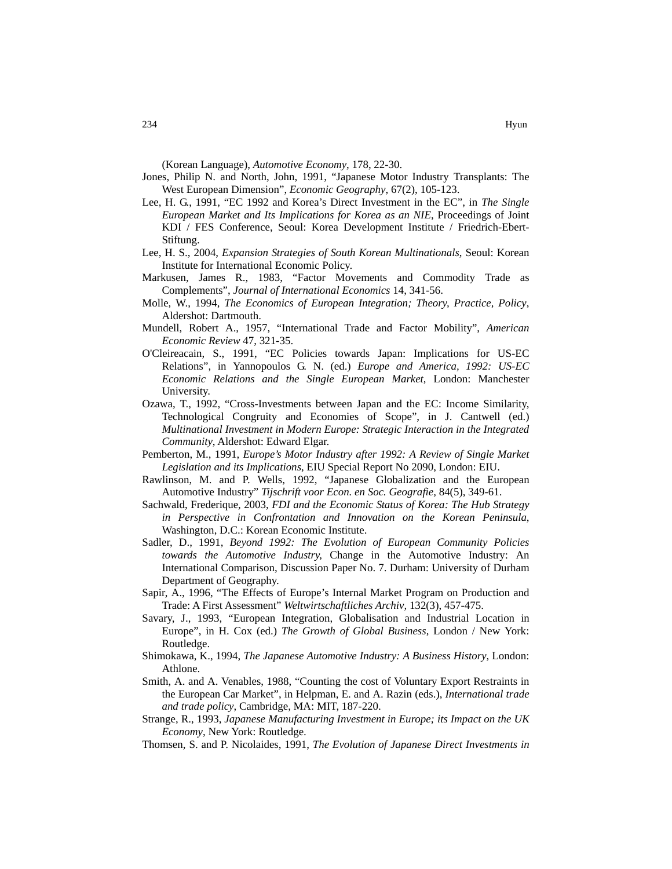- Jones, Philip N. and North, John, 1991, "Japanese Motor Industry Transplants: The West European Dimension", *Economic Geography*, 67(2), 105-123.
- Lee, H. G., 1991, "EC 1992 and Korea's Direct Investment in the EC", in *The Single European Market and Its Implications for Korea as an NIE*, Proceedings of Joint KDI / FES Conference, Seoul: Korea Development Institute / Friedrich-Ebert-Stiftung.
- Lee, H. S., 2004, *Expansion Strategies of South Korean Multinationals*, Seoul: Korean Institute for International Economic Policy.
- Markusen, James R., 1983, "Factor Movements and Commodity Trade as Complements", *Journal of International Economics* 14, 341-56.
- Molle, W., 1994, *The Economics of European Integration; Theory, Practice, Policy*, Aldershot: Dartmouth.
- Mundell, Robert A., 1957, "International Trade and Factor Mobility", *American Economic Review* 47, 321-35.
- O'Cleireacain, S., 1991, "EC Policies towards Japan: Implications for US-EC Relations", in Yannopoulos G. N. (ed.) *Europe and America, 1992: US-EC Economic Relations and the Single European Market*, London: Manchester University.
- Ozawa, T., 1992, "Cross-Investments between Japan and the EC: Income Similarity, Technological Congruity and Economies of Scope", in J. Cantwell (ed.) *Multinational Investment in Modern Europe: Strategic Interaction in the Integrated Community*, Aldershot: Edward Elgar.
- Pemberton, M., 1991, *Europe's Motor Industry after 1992: A Review of Single Market Legislation and its Implications*, EIU Special Report No 2090, London: EIU.
- Rawlinson, M. and P. Wells, 1992, "Japanese Globalization and the European Automotive Industry" *Tijschrift voor Econ. en Soc. Geografie,* 84(5), 349-61.
- Sachwald, Frederique, 2003, *FDI and the Economic Status of Korea: The Hub Strategy in Perspective in Confrontation and Innovation on the Korean Peninsula*, Washington, D.C.: Korean Economic Institute.
- Sadler, D., 1991, *Beyond 1992: The Evolution of European Community Policies towards the Automotive Industry,* Change in the Automotive Industry: An International Comparison, Discussion Paper No. 7. Durham: University of Durham Department of Geography.
- Sapir, A., 1996, "The Effects of Europe's Internal Market Program on Production and Trade: A First Assessment" *Weltwirtschaftliches Archiv,* 132(3), 457-475.
- Savary, J., 1993, "European Integration, Globalisation and Industrial Location in Europe", in H. Cox (ed.) *The Growth of Global Business*, London / New York: Routledge.
- Shimokawa, K., 1994, *The Japanese Automotive Industry: A Business History*, London: Athlone.
- Smith, A. and A. Venables, 1988, "Counting the cost of Voluntary Export Restraints in the European Car Market", in Helpman, E. and A. Razin (eds.), *International trade and trade policy*, Cambridge, MA: MIT, 187-220.
- Strange, R., 1993, *Japanese Manufacturing Investment in Europe; its Impact on the UK Economy*, New York: Routledge.
- Thomsen, S. and P. Nicolaides, 1991, *The Evolution of Japanese Direct Investments in*